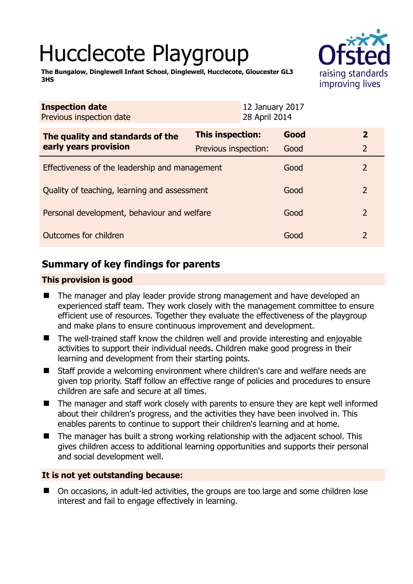# Hucclecote Playgroup



**The Bungalow, Dinglewell Infant School, Dinglewell, Hucclecote, Gloucester GL3 3HS** 

| <b>Inspection date</b><br>Previous inspection date |                      | 12 January 2017<br>28 April 2014 |      |                |
|----------------------------------------------------|----------------------|----------------------------------|------|----------------|
| The quality and standards of the                   | This inspection:     |                                  | Good | $\overline{2}$ |
| early years provision                              | Previous inspection: |                                  | Good | $\overline{2}$ |
| Effectiveness of the leadership and management     |                      |                                  | Good | 2              |
| Quality of teaching, learning and assessment       |                      |                                  | Good | 2              |
| Personal development, behaviour and welfare        |                      |                                  | Good | 2              |
| Outcomes for children                              |                      |                                  | Good | $\overline{2}$ |

# **Summary of key findings for parents**

## **This provision is good**

- The manager and play leader provide strong management and have developed an experienced staff team. They work closely with the management committee to ensure efficient use of resources. Together they evaluate the effectiveness of the playgroup and make plans to ensure continuous improvement and development.
- The well-trained staff know the children well and provide interesting and enjoyable activities to support their individual needs. Children make good progress in their learning and development from their starting points.
- Staff provide a welcoming environment where children's care and welfare needs are given top priority. Staff follow an effective range of policies and procedures to ensure children are safe and secure at all times.
- The manager and staff work closely with parents to ensure they are kept well informed about their children's progress, and the activities they have been involved in. This enables parents to continue to support their children's learning and at home.
- The manager has built a strong working relationship with the adjacent school. This gives children access to additional learning opportunities and supports their personal and social development well.

## **It is not yet outstanding because:**

■ On occasions, in adult-led activities, the groups are too large and some children lose interest and fail to engage effectively in learning.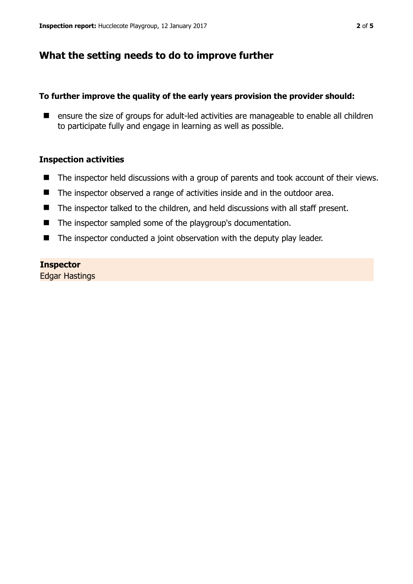## **What the setting needs to do to improve further**

#### **To further improve the quality of the early years provision the provider should:**

■ ensure the size of groups for adult-led activities are manageable to enable all children to participate fully and engage in learning as well as possible.

#### **Inspection activities**

- The inspector held discussions with a group of parents and took account of their views.
- The inspector observed a range of activities inside and in the outdoor area.
- The inspector talked to the children, and held discussions with all staff present.
- The inspector sampled some of the playgroup's documentation.
- The inspector conducted a joint observation with the deputy play leader.

#### **Inspector**

Edgar Hastings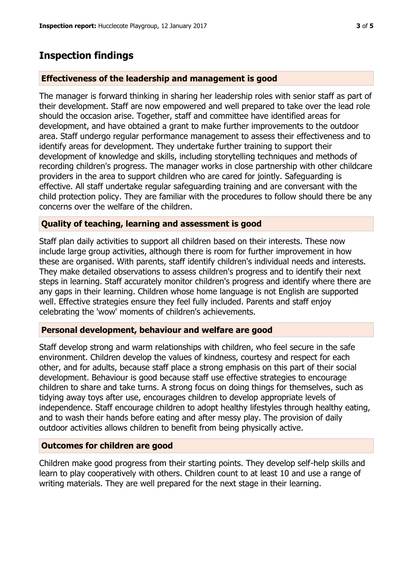## **Inspection findings**

#### **Effectiveness of the leadership and management is good**

The manager is forward thinking in sharing her leadership roles with senior staff as part of their development. Staff are now empowered and well prepared to take over the lead role should the occasion arise. Together, staff and committee have identified areas for development, and have obtained a grant to make further improvements to the outdoor area. Staff undergo regular performance management to assess their effectiveness and to identify areas for development. They undertake further training to support their development of knowledge and skills, including storytelling techniques and methods of recording children's progress. The manager works in close partnership with other childcare providers in the area to support children who are cared for jointly. Safeguarding is effective. All staff undertake regular safeguarding training and are conversant with the child protection policy. They are familiar with the procedures to follow should there be any concerns over the welfare of the children.

#### **Quality of teaching, learning and assessment is good**

Staff plan daily activities to support all children based on their interests. These now include large group activities, although there is room for further improvement in how these are organised. With parents, staff identify children's individual needs and interests. They make detailed observations to assess children's progress and to identify their next steps in learning. Staff accurately monitor children's progress and identify where there are any gaps in their learning. Children whose home language is not English are supported well. Effective strategies ensure they feel fully included. Parents and staff enjoy celebrating the 'wow' moments of children's achievements.

#### **Personal development, behaviour and welfare are good**

Staff develop strong and warm relationships with children, who feel secure in the safe environment. Children develop the values of kindness, courtesy and respect for each other, and for adults, because staff place a strong emphasis on this part of their social development. Behaviour is good because staff use effective strategies to encourage children to share and take turns. A strong focus on doing things for themselves, such as tidying away toys after use, encourages children to develop appropriate levels of independence. Staff encourage children to adopt healthy lifestyles through healthy eating, and to wash their hands before eating and after messy play. The provision of daily outdoor activities allows children to benefit from being physically active.

#### **Outcomes for children are good**

Children make good progress from their starting points. They develop self-help skills and learn to play cooperatively with others. Children count to at least 10 and use a range of writing materials. They are well prepared for the next stage in their learning.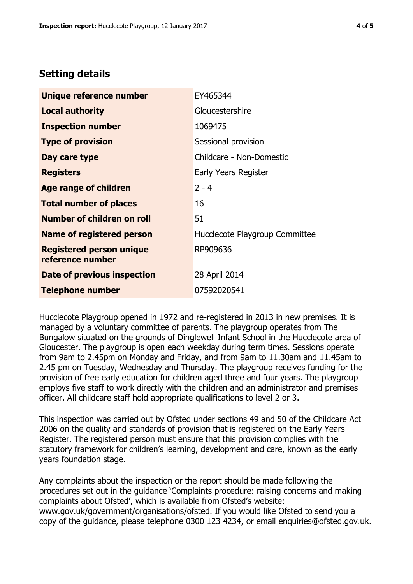## **Setting details**

| Unique reference number                             | EY465344                       |  |
|-----------------------------------------------------|--------------------------------|--|
| <b>Local authority</b>                              | Gloucestershire                |  |
| <b>Inspection number</b>                            | 1069475                        |  |
| <b>Type of provision</b>                            | Sessional provision            |  |
| Day care type                                       | Childcare - Non-Domestic       |  |
| <b>Registers</b>                                    | Early Years Register           |  |
| <b>Age range of children</b>                        | $2 - 4$                        |  |
| <b>Total number of places</b>                       | 16                             |  |
| <b>Number of children on roll</b>                   | 51                             |  |
| Name of registered person                           | Hucclecote Playgroup Committee |  |
| <b>Registered person unique</b><br>reference number | RP909636                       |  |
| Date of previous inspection                         | 28 April 2014                  |  |
| <b>Telephone number</b>                             | 07592020541                    |  |

Hucclecote Playgroup opened in 1972 and re-registered in 2013 in new premises. It is managed by a voluntary committee of parents. The playgroup operates from The Bungalow situated on the grounds of Dinglewell Infant School in the Hucclecote area of Gloucester. The playgroup is open each weekday during term times. Sessions operate from 9am to 2.45pm on Monday and Friday, and from 9am to 11.30am and 11.45am to 2.45 pm on Tuesday, Wednesday and Thursday. The playgroup receives funding for the provision of free early education for children aged three and four years. The playgroup employs five staff to work directly with the children and an administrator and premises officer. All childcare staff hold appropriate qualifications to level 2 or 3.

This inspection was carried out by Ofsted under sections 49 and 50 of the Childcare Act 2006 on the quality and standards of provision that is registered on the Early Years Register. The registered person must ensure that this provision complies with the statutory framework for children's learning, development and care, known as the early years foundation stage.

Any complaints about the inspection or the report should be made following the procedures set out in the guidance 'Complaints procedure: raising concerns and making complaints about Ofsted', which is available from Ofsted's website: www.gov.uk/government/organisations/ofsted. If you would like Ofsted to send you a copy of the guidance, please telephone 0300 123 4234, or email enquiries@ofsted.gov.uk.